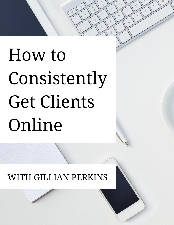W

 $\Omega$ 

 $\Omega$ 

WITH GILLIAN PERKINS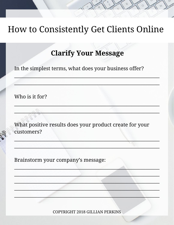#### **Clarify Your Message**

In the simplest terms, what does your business offer?

Who is it for?

What positive results does your product create for your customers?

Brainstorm your company's message: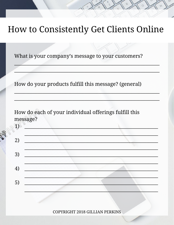What is your company's message to your customers?

How do your products fulfill this message? (general)

How do each of your individual offerings fulfill this message?

 $1)$  $2)$ 3)  $4)$ 5)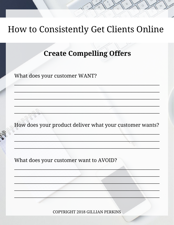#### **Create Compelling Offers**

What does your customer WANT?

How does your product deliver what your customer wants?

What does your customer want to AVOID?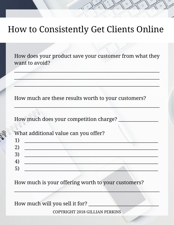How does your product save your customer from what they want to avoid?

 $\mathcal{L}_\text{max}$  and  $\mathcal{L}_\text{max}$  and  $\mathcal{L}_\text{max}$  are the set of the set of the set of the set of the set of the set of the set of the set of the set of the set of the set of the set of the set of the set of the set of th

 $\mathcal{L}$  , and the set of the set of the set of the set of the set of the set of the set of the set of the set of the set of the set of the set of the set of the set of the set of the set of the set of the set of the set

 $\frac{1}{2}$  ,  $\frac{1}{2}$  ,  $\frac{1}{2}$  ,  $\frac{1}{2}$  ,  $\frac{1}{2}$  ,  $\frac{1}{2}$  ,  $\frac{1}{2}$  ,  $\frac{1}{2}$  ,  $\frac{1}{2}$  ,  $\frac{1}{2}$  ,  $\frac{1}{2}$  ,  $\frac{1}{2}$  ,  $\frac{1}{2}$  ,  $\frac{1}{2}$  ,  $\frac{1}{2}$  ,  $\frac{1}{2}$  ,  $\frac{1}{2}$  ,  $\frac{1}{2}$  ,  $\frac{1$ 

 $\frac{1}{2} \left( \frac{1}{2} \left( \frac{1}{2} \right) \left( \frac{1}{2} \right) \left( \frac{1}{2} \right) \left( \frac{1}{2} \right) \left( \frac{1}{2} \right) \left( \frac{1}{2} \right) \left( \frac{1}{2} \right) \left( \frac{1}{2} \right) \left( \frac{1}{2} \right) \left( \frac{1}{2} \right) \left( \frac{1}{2} \right) \left( \frac{1}{2} \right) \left( \frac{1}{2} \right) \left( \frac{1}{2} \right) \left( \frac{1}{2} \right) \left( \frac{1}{$ 

How much are these results worth to your customers?

How much does your competition charge?

| What additional value can you offer? |  |  |
|--------------------------------------|--|--|
|                                      |  |  |
|                                      |  |  |
|                                      |  |  |
|                                      |  |  |

How much is your offering worth to your customers?

How much will you sell it for?

COPYRIGHT 2018 GILLIAN PERKINS

 $\Box$  . The second contract of  $\Box$  . The second contract of  $\Box$  . The second contract of  $\Box$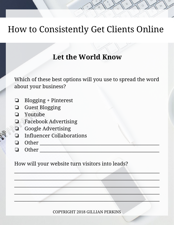#### **Let the World Know**

Which of these best options will you use to spread the word about your business?

- ❏ Blogging + Pinterest
- ❏ Guest Blogging
- ❏ Youtube
- ❏ Facebook Advertising
- ❏ Google Advertising
- ❏ Influencer Collaborations
- ❏ Other \_\_\_\_\_\_\_\_\_\_\_\_\_\_\_\_\_\_\_\_\_\_\_\_\_\_\_\_\_\_\_\_\_\_\_\_\_\_\_\_\_\_\_\_\_\_\_\_\_\_\_
- $\Box$  Other

How will your website turn visitors into leads?

COPYRIGHT 2018 GILLIAN PERKINS

 $\frac{1}{2}$ 

 $\frac{1}{2}$  ,  $\frac{1}{2}$  ,  $\frac{1}{2}$  ,  $\frac{1}{2}$  ,  $\frac{1}{2}$  ,  $\frac{1}{2}$  ,  $\frac{1}{2}$  ,  $\frac{1}{2}$  ,  $\frac{1}{2}$  ,  $\frac{1}{2}$  ,  $\frac{1}{2}$  ,  $\frac{1}{2}$  ,  $\frac{1}{2}$  ,  $\frac{1}{2}$  ,  $\frac{1}{2}$  ,  $\frac{1}{2}$  ,  $\frac{1}{2}$  ,  $\frac{1}{2}$  ,  $\frac{1$ 

 $\blacksquare$ 

 $\Box$  . The contract of the contract of the contract of the contract of the contract of the contract of the contract of

\_\_\_\_\_\_\_\_\_\_\_\_\_\_\_\_\_\_\_\_\_\_\_\_\_\_\_\_\_\_\_\_\_\_\_\_\_\_\_\_\_\_\_\_\_\_\_\_\_\_\_\_\_\_\_\_\_\_\_\_\_\_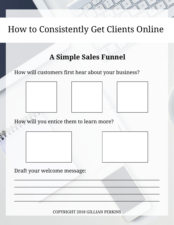#### **A Simple Sales Funnel**

How will customers first hear about your business?



How will you entice them to learn more?

Draft your welcome message:

COPYRIGHT 2018 GILLIAN PERKINS

 $\frac{1}{2}$  ,  $\frac{1}{2}$  ,  $\frac{1}{2}$  ,  $\frac{1}{2}$  ,  $\frac{1}{2}$  ,  $\frac{1}{2}$  ,  $\frac{1}{2}$  ,  $\frac{1}{2}$  ,  $\frac{1}{2}$  ,  $\frac{1}{2}$  ,  $\frac{1}{2}$  ,  $\frac{1}{2}$  ,  $\frac{1}{2}$  ,  $\frac{1}{2}$  ,  $\frac{1}{2}$  ,  $\frac{1}{2}$  ,  $\frac{1}{2}$  ,  $\frac{1}{2}$  ,  $\frac{1$ 

 $\blacksquare$ 

 $\Box$  . The contract of the contract of the contract of the contract of the contract of the contract of the contract of

\_\_\_\_\_\_\_\_\_\_\_\_\_\_\_\_\_\_\_\_\_\_\_\_\_\_\_\_\_\_\_\_\_\_\_\_\_\_\_\_\_\_\_\_\_\_\_\_\_\_\_\_\_\_\_\_\_\_\_\_\_\_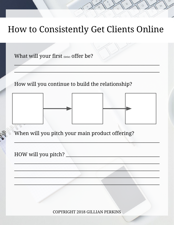What will your first (little) offer be?

How will you continue to build the relationship?





When will you pitch your main product offering?

HOW will you pitch?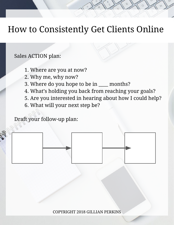#### Sales ACTION plan:

- 1. Where are you at now?
- 2. Why me, why now?
- 3. Where do you hope to be in \_\_\_\_ months?
- 4. What's holding you back from reaching your goals?
- 5. Are you interested in hearing about how I could help?
- 6. What will your next step be?

Draft your follow-up plan:

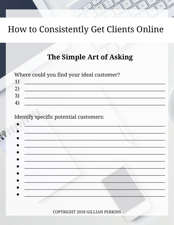#### The Simple Art of Asking

Where could you find your ideal customer?



#### Identify specific potential customers: